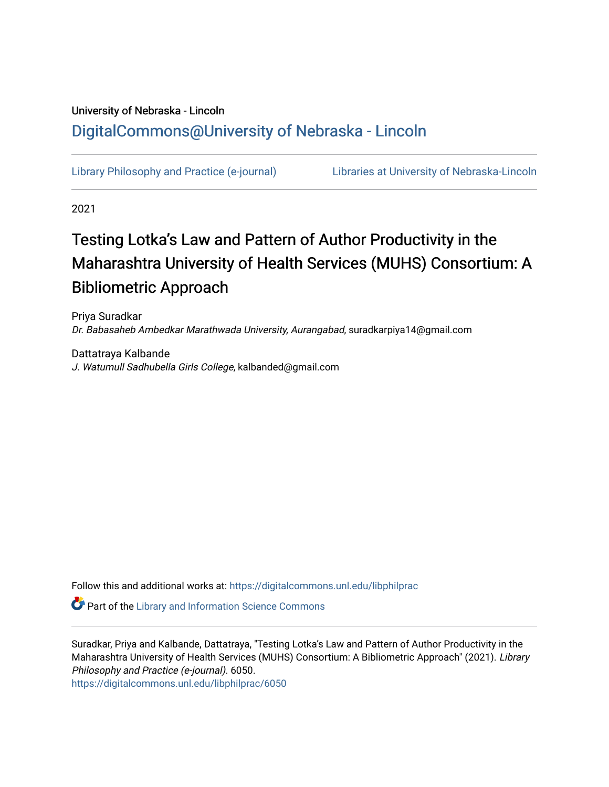## University of Nebraska - Lincoln [DigitalCommons@University of Nebraska - Lincoln](https://digitalcommons.unl.edu/)

[Library Philosophy and Practice \(e-journal\)](https://digitalcommons.unl.edu/libphilprac) [Libraries at University of Nebraska-Lincoln](https://digitalcommons.unl.edu/libraries) 

2021

# Testing Lotka's Law and Pattern of Author Productivity in the Maharashtra University of Health Services (MUHS) Consortium: A Bibliometric Approach

Priya Suradkar Dr. Babasaheb Ambedkar Marathwada University, Aurangabad, suradkarpiya14@gmail.com

Dattatraya Kalbande J. Watumull Sadhubella Girls College, kalbanded@gmail.com

Follow this and additional works at: [https://digitalcommons.unl.edu/libphilprac](https://digitalcommons.unl.edu/libphilprac?utm_source=digitalcommons.unl.edu%2Flibphilprac%2F6050&utm_medium=PDF&utm_campaign=PDFCoverPages) 

**Part of the Library and Information Science Commons** 

Suradkar, Priya and Kalbande, Dattatraya, "Testing Lotka's Law and Pattern of Author Productivity in the Maharashtra University of Health Services (MUHS) Consortium: A Bibliometric Approach" (2021). Library Philosophy and Practice (e-journal). 6050.

[https://digitalcommons.unl.edu/libphilprac/6050](https://digitalcommons.unl.edu/libphilprac/6050?utm_source=digitalcommons.unl.edu%2Flibphilprac%2F6050&utm_medium=PDF&utm_campaign=PDFCoverPages)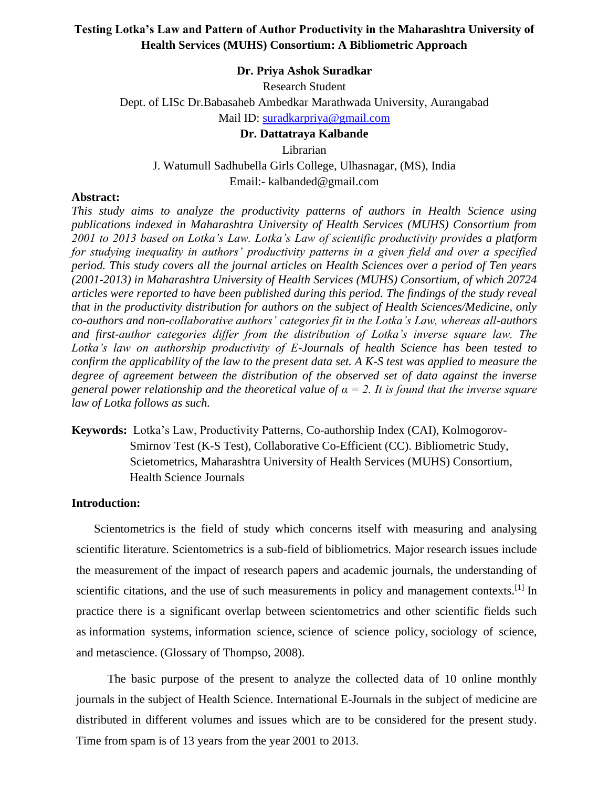## **Testing Lotka's Law and Pattern of Author Productivity in the Maharashtra University of Health Services (MUHS) Consortium: A Bibliometric Approach**

#### **Dr. Priya Ashok Suradkar**

Research Student Dept. of LISc Dr.Babasaheb Ambedkar Marathwada University, Aurangabad Mail ID: [suradkarpriya@gmail.com](mailto:suradkarpriya@gmail.com)

## **Dr. Dattatraya Kalbande**

Librarian

J. Watumull Sadhubella Girls College, Ulhasnagar, (MS), India Email:- kalbanded@gmail.com

#### **Abstract:**

*This study aims to analyze the productivity patterns of authors in Health Science using publications indexed in Maharashtra University of Health Services (MUHS) Consortium from 2001 to 2013 based on Lotka's Law. Lotka's Law of scientific productivity provides a platform for studying inequality in authors' productivity patterns in a given field and over a specified period. This study covers all the journal articles on Health Sciences over a period of Ten years (2001-2013) in Maharashtra University of Health Services (MUHS) Consortium, of which 20724 articles were reported to have been published during this period. The findings of the study reveal that in the productivity distribution for authors on the subject of Health Sciences/Medicine, only co-authors and non-collaborative authors' categories fit in the Lotka's Law, whereas all-authors and first-author categories differ from the distribution of Lotka's inverse square law. The Lotka's law on authorship productivity of E-Journals of health Science has been tested to confirm the applicability of the law to the present data set. A K-S test was applied to measure the degree of agreement between the distribution of the observed set of data against the inverse general power relationship and the theoretical value of α = 2. It is found that the inverse square law of Lotka follows as such.*

**Keywords:** Lotka's Law, Productivity Patterns, Co-authorship Index (CAI), Kolmogorov-Smirnov Test (K-S Test), Collaborative Co-Efficient (CC). Bibliometric Study, Scietometrics, Maharashtra University of Health Services (MUHS) Consortium, Health Science Journals

#### **Introduction:**

Scientometrics is the field of study which concerns itself with measuring and analysing scientific literature. Scientometrics is a sub-field of [bibliometrics.](https://en.wikipedia.org/wiki/Bibliometrics) Major research issues include the measurement of the impact of research papers and academic journals, the understanding of scientific citations, and the use of such measurements in policy and management contexts.<sup>[\[1\]](https://en.wikipedia.org/wiki/Scientometrics#cite_note-ScientometricsLeydesdorff-1)</sup> In practice there is a significant overlap between scientometrics and other scientific fields such as [information systems,](https://en.wikipedia.org/wiki/Information_system) [information science,](https://en.wikipedia.org/wiki/Information_science) [science of science policy,](https://en.wikipedia.org/wiki/Science_of_science_policy) [sociology of science,](https://en.wikipedia.org/wiki/Sociology_of_science) and [metascience.](https://en.wikipedia.org/wiki/Metascience) (Glossary of Thompso, 2008).

The basic purpose of the present to analyze the collected data of 10 online monthly journals in the subject of Health Science. International E-Journals in the subject of medicine are distributed in different volumes and issues which are to be considered for the present study. Time from spam is of 13 years from the year 2001 to 2013.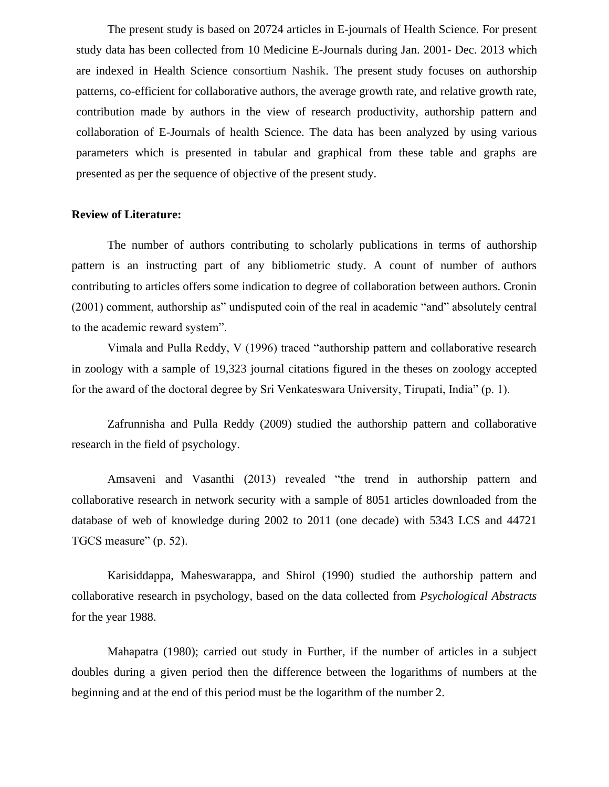The present study is based on 20724 articles in E-journals of Health Science. For present study data has been collected from 10 Medicine E-Journals during Jan. 2001- Dec. 2013 which are indexed in Health Science consortium Nashik. The present study focuses on authorship patterns, co-efficient for collaborative authors, the average growth rate, and relative growth rate, contribution made by authors in the view of research productivity, authorship pattern and collaboration of E-Journals of health Science. The data has been analyzed by using various parameters which is presented in tabular and graphical from these table and graphs are presented as per the sequence of objective of the present study.

## **Review of Literature:**

The number of authors contributing to scholarly publications in terms of authorship pattern is an instructing part of any bibliometric study. A count of number of authors contributing to articles offers some indication to degree of collaboration between authors. Cronin (2001) comment, authorship as" undisputed coin of the real in academic "and" absolutely central to the academic reward system".

Vimala and Pulla Reddy, V (1996) traced "authorship pattern and collaborative research in zoology with a sample of 19,323 journal citations figured in the theses on zoology accepted for the award of the doctoral degree by Sri Venkateswara University, Tirupati, India" (p. 1).

Zafrunnisha and Pulla Reddy (2009) studied the authorship pattern and collaborative research in the field of psychology.

Amsaveni and Vasanthi (2013) revealed "the trend in authorship pattern and collaborative research in network security with a sample of 8051 articles downloaded from the database of web of knowledge during 2002 to 2011 (one decade) with 5343 LCS and 44721 TGCS measure" (p. 52).

Karisiddappa, Maheswarappa, and Shirol (1990) studied the authorship pattern and collaborative research in psychology, based on the data collected from *Psychological Abstracts*  for the year 1988.

Mahapatra (1980); carried out study in Further, if the number of articles in a subject doubles during a given period then the difference between the logarithms of numbers at the beginning and at the end of this period must be the logarithm of the number 2.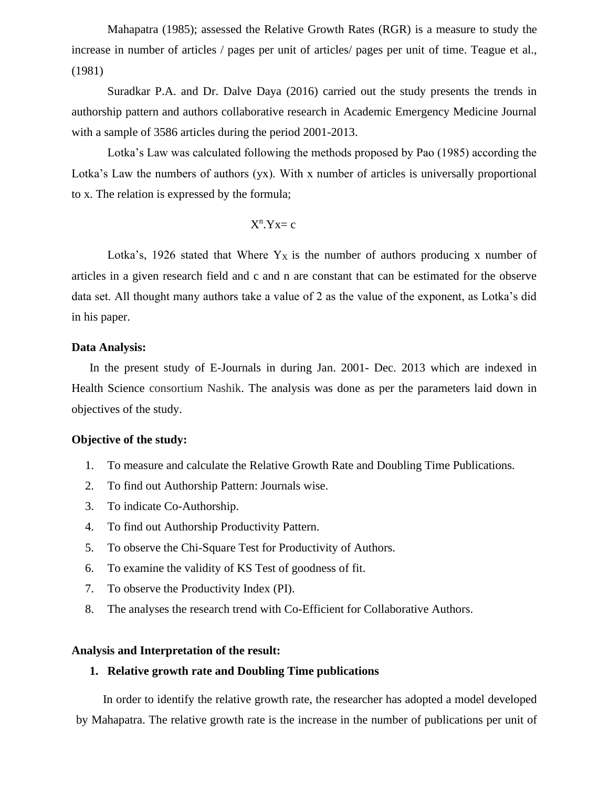Mahapatra (1985); assessed the Relative Growth Rates (RGR) is a measure to study the increase in number of articles / pages per unit of articles/ pages per unit of time. Teague et al., (1981)

Suradkar P.A. and Dr. Dalve Daya (2016) carried out the study presents the trends in authorship pattern and authors collaborative research in Academic Emergency Medicine Journal with a sample of 3586 articles during the period 2001-2013.

Lotka's Law was calculated following the methods proposed by Pao (1985) according the Lotka's Law the numbers of authors (yx). With x number of articles is universally proportional to x. The relation is expressed by the formula;

$$
X^n.Yx\!=\!c
$$

Lotka's, 1926 stated that Where  $Y_X$  is the number of authors producing x number of articles in a given research field and c and n are constant that can be estimated for the observe data set. All thought many authors take a value of 2 as the value of the exponent, as Lotka's did in his paper.

#### **Data Analysis:**

In the present study of E-Journals in during Jan. 2001- Dec. 2013 which are indexed in Health Science consortium Nashik. The analysis was done as per the parameters laid down in objectives of the study.

## **Objective of the study:**

- 1. To measure and calculate the Relative Growth Rate and Doubling Time Publications.
- 2. To find out Authorship Pattern: Journals wise.
- 3. To indicate Co-Authorship.
- 4. To find out Authorship Productivity Pattern.
- 5. To observe the Chi-Square Test for Productivity of Authors.
- 6. To examine the validity of KS Test of goodness of fit.
- 7. To observe the Productivity Index (PI).
- 8. The analyses the research trend with Co-Efficient for Collaborative Authors.

#### **Analysis and Interpretation of the result:**

## **1. Relative growth rate and Doubling Time publications**

In order to identify the relative growth rate, the researcher has adopted a model developed by Mahapatra. The relative growth rate is the increase in the number of publications per unit of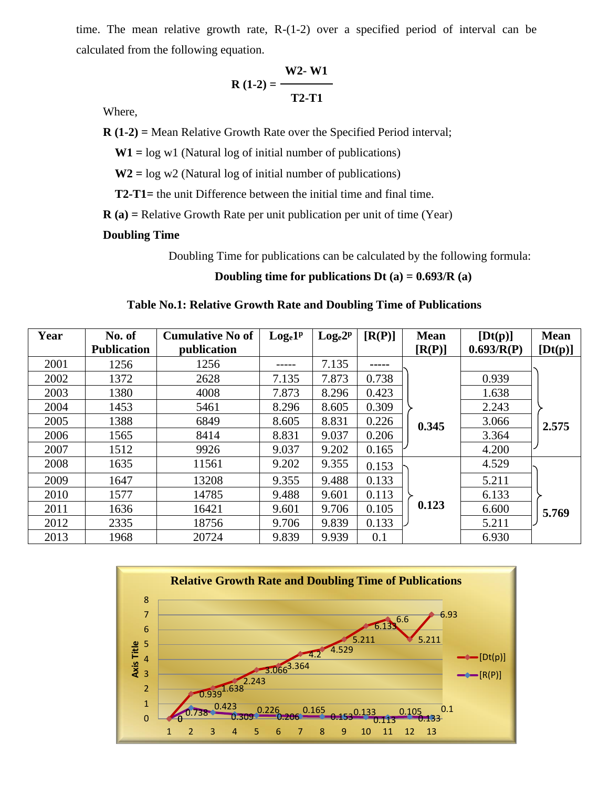time. The mean relative growth rate, R-(1-2) over a specified period of interval can be calculated from the following equation.

$$
R(1-2) = \frac{W2-W1}{T2-T1}
$$

Where,

**R (1-2) =** Mean Relative Growth Rate over the Specified Period interval;

 **W1 =** log w1 (Natural log of initial number of publications)

 **W2 =** log w2 (Natural log of initial number of publications)

 **T2-T1=** the unit Difference between the initial time and final time.

**R (a) =** Relative Growth Rate per unit publication per unit of time (Year)

## **Doubling Time**

Doubling Time for publications can be calculated by the following formula:

 **Doubling time for publications Dt (a) = 0.693/R (a)**

#### **Table No.1: Relative Growth Rate and Doubling Time of Publications**

| Year | No. of             | <b>Cumulative No of</b> | $Log_e1^p$ | $Log_e 2^p$ | [R(P)] | <b>Mean</b> | [Dt(p)]    | <b>Mean</b> |
|------|--------------------|-------------------------|------------|-------------|--------|-------------|------------|-------------|
|      | <b>Publication</b> | publication             |            |             |        | [R(P)]      | 0.693/R(P) | [Dt(p)]     |
| 2001 | 1256               | 1256                    |            | 7.135       | -----  |             |            |             |
| 2002 | 1372               | 2628                    | 7.135      | 7.873       | 0.738  |             | 0.939      |             |
| 2003 | 1380               | 4008                    | 7.873      | 8.296       | 0.423  |             | 1.638      |             |
| 2004 | 1453               | 5461                    | 8.296      | 8.605       | 0.309  |             | 2.243      |             |
| 2005 | 1388               | 6849                    | 8.605      | 8.831       | 0.226  | 0.345       | 3.066      | 2.575       |
| 2006 | 1565               | 8414                    | 8.831      | 9.037       | 0.206  |             | 3.364      |             |
| 2007 | 1512               | 9926                    | 9.037      | 9.202       | 0.165  |             | 4.200      |             |
| 2008 | 1635               | 11561                   | 9.202      | 9.355       | 0.153  |             | 4.529      |             |
| 2009 | 1647               | 13208                   | 9.355      | 9.488       | 0.133  |             | 5.211      |             |
| 2010 | 1577               | 14785                   | 9.488      | 9.601       | 0.113  |             | 6.133      |             |
| 2011 | 1636               | 16421                   | 9.601      | 9.706       | 0.105  | 0.123       | 6.600      | 5.769       |
| 2012 | 2335               | 18756                   | 9.706      | 9.839       | 0.133  |             | 5.211      |             |
| 2013 | 1968               | 20724                   | 9.839      | 9.939       | 0.1    |             | 6.930      |             |

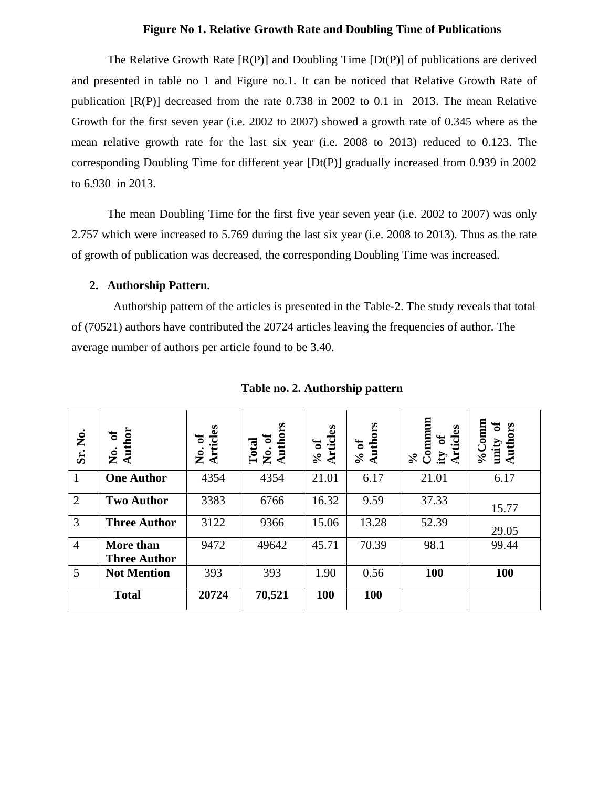#### **Figure No 1. Relative Growth Rate and Doubling Time of Publications**

The Relative Growth Rate [R(P)] and Doubling Time [Dt(P)] of publications are derived and presented in table no 1 and Figure no.1. It can be noticed that Relative Growth Rate of publication [R(P)] decreased from the rate 0.738 in 2002 to 0.1 in 2013. The mean Relative Growth for the first seven year (i.e. 2002 to 2007) showed a growth rate of 0.345 where as the mean relative growth rate for the last six year (i.e. 2008 to 2013) reduced to 0.123. The corresponding Doubling Time for different year [Dt(P)] gradually increased from 0.939 in 2002 to 6.930 in 2013.

The mean Doubling Time for the first five year seven year (i.e. 2002 to 2007) was only 2.757 which were increased to 5.769 during the last six year (i.e. 2008 to 2013). Thus as the rate of growth of publication was decreased, the corresponding Doubling Time was increased.

#### **2. Authorship Pattern.**

 Authorship pattern of the articles is presented in the Table-2. The study reveals that total of (70521) authors have contributed the 20724 articles leaving the frequencies of author. The average number of authors per article found to be 3.40.

| Sr. No.        | No. of<br>Author                 | Articles<br>ัธ<br>è<br>Ż | Total<br>No. of<br>Authors | <b>Articles</b><br>$\mathbf{a}$<br>$\mathcal{S}_{\bullet}$ | Authors<br>% of | $\begin{array}{c} \text{Commum} \\ \text{ity of} \end{array}$<br>E<br>Article<br>$\%$ | $\%$ Comm<br>Authors<br>unity |
|----------------|----------------------------------|--------------------------|----------------------------|------------------------------------------------------------|-----------------|---------------------------------------------------------------------------------------|-------------------------------|
| 1              | <b>One Author</b>                | 4354                     | 4354                       | 21.01                                                      | 6.17            | 21.01                                                                                 | 6.17                          |
| 2              | <b>Two Author</b>                | 3383                     | 6766                       | 16.32                                                      | 9.59            | 37.33                                                                                 | 15.77                         |
| 3              | <b>Three Author</b>              | 3122                     | 9366                       | 15.06                                                      | 13.28           | 52.39                                                                                 | 29.05                         |
| $\overline{4}$ | More than<br><b>Three Author</b> | 9472                     | 49642                      | 45.71                                                      | 70.39           | 98.1                                                                                  | 99.44                         |
| 5              | <b>Not Mention</b>               | 393                      | 393                        | 1.90                                                       | 0.56            | 100                                                                                   | 100                           |
|                | <b>Total</b>                     | 20724                    | 70,521                     | <b>100</b>                                                 | 100             |                                                                                       |                               |

**Table no. 2. Authorship pattern**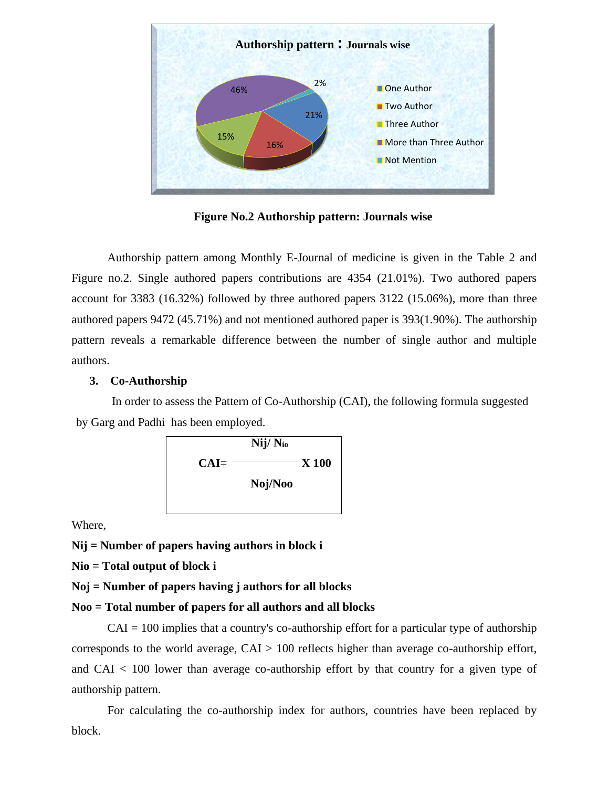

**Figure No.2 Authorship pattern: Journals wise**

Authorship pattern among Monthly E-Journal of medicine is given in the Table 2 and Figure no.2. Single authored papers contributions are 4354 (21.01%). Two authored papers account for 3383 (16.32%) followed by three authored papers 3122 (15.06%), more than three authored papers 9472 (45.71%) and not mentioned authored paper is 393(1.90%). The authorship pattern reveals a remarkable difference between the number of single author and multiple authors.

#### **3. Co-Authorship**

In order to assess the Pattern of Co-Authorship (CAI), the following formula suggested by Garg and Padhi has been employed.



Where,

**Nij = Number of papers having authors in block i**

**Nio = Total output of block i**

**Noj = Number of papers having j authors for all blocks**

#### **Noo = Total number of papers for all authors and all blocks**

 $CAI = 100$  implies that a country's co-authorship effort for a particular type of authorship corresponds to the world average, CAI > 100 reflects higher than average co-authorship effort, and CAI < 100 lower than average co-authorship effort by that country for a given type of authorship pattern.

For calculating the co-authorship index for authors, countries have been replaced by block.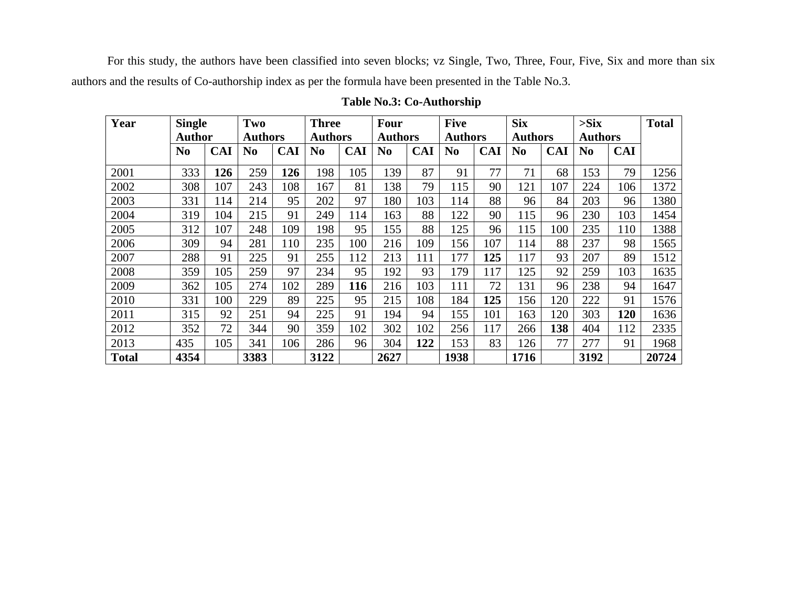For this study, the authors have been classified into seven blocks; vz Single, Two, Three, Four, Five, Six and more than six authors and the results of Co-authorship index as per the formula have been presented in the Table No.3.

| Year         | <b>Single</b>  |            | Two            |            | <b>Three</b>   |            | Four           |            | <b>Five</b>    |            | <b>Six</b>     |            | $>$ Six        |            | <b>Total</b> |
|--------------|----------------|------------|----------------|------------|----------------|------------|----------------|------------|----------------|------------|----------------|------------|----------------|------------|--------------|
|              | Author         |            | <b>Authors</b> |            | <b>Authors</b> |            | <b>Authors</b> |            | <b>Authors</b> |            | <b>Authors</b> |            | <b>Authors</b> |            |              |
|              | N <sub>0</sub> | <b>CAI</b> | N <sub>0</sub> | <b>CAI</b> | N <sub>0</sub> | <b>CAI</b> | N <sub>0</sub> | <b>CAI</b> | N <sub>0</sub> | <b>CAI</b> | N <sub>0</sub> | <b>CAI</b> | N <sub>0</sub> | <b>CAI</b> |              |
| 2001         | 333            | 126        | 259            | 126        | 198            | 105        | 139            | 87         | 91             | 77         | 71             | 68         | 153            | 79         | 1256         |
| 2002         | 308            | 107        | 243            | 108        | 167            | 81         | 138            | 79         | 115            | 90         | 121            | 107        | 224            | 106        | 1372         |
| 2003         | 331            | 114        | 214            | 95         | 202            | 97         | 180            | 103        | 114            | 88         | 96             | 84         | 203            | 96         | 1380         |
| 2004         | 319            | 104        | 215            | 91         | 249            | 114        | 163            | 88         | 122            | 90         | 115            | 96         | 230            | 103        | 1454         |
| 2005         | 312            | 107        | 248            | 109        | 198            | 95         | 155            | 88         | 125            | 96         | 115            | 100        | 235            | 110        | 1388         |
| 2006         | 309            | 94         | 281            | 110        | 235            | 100        | 216            | 109        | 156            | 107        | 114            | 88         | 237            | 98         | 1565         |
| 2007         | 288            | 91         | 225            | 91         | 255            | 112        | 213            | 111        | 177            | 125        | 117            | 93         | 207            | 89         | 1512         |
| 2008         | 359            | 105        | 259            | 97         | 234            | 95         | 192            | 93         | 179            | 117        | 125            | 92         | 259            | 103        | 1635         |
| 2009         | 362            | 105        | 274            | 102        | 289            | 116        | 216            | 103        | 111            | 72         | 131            | 96         | 238            | 94         | 1647         |
| 2010         | 331            | 100        | 229            | 89         | 225            | 95         | 215            | 108        | 184            | 125        | 156            | 120        | 222            | 91         | 1576         |
| 2011         | 315            | 92         | 251            | 94         | 225            | 91         | 194            | 94         | 155            | 101        | 163            | 120        | 303            | 120        | 1636         |
| 2012         | 352            | 72         | 344            | 90         | 359            | 102        | 302            | 102        | 256            | 117        | 266            | 138        | 404            | 112        | 2335         |
| 2013         | 435            | 105        | 341            | 106        | 286            | 96         | 304            | 122        | 153            | 83         | 126            | 77         | 277            | 91         | 1968         |
| <b>Total</b> | 4354           |            | 3383           |            | 3122           |            | 2627           |            | 1938           |            | 1716           |            | 3192           |            | 20724        |

## **Table No.3: Co-Authorship**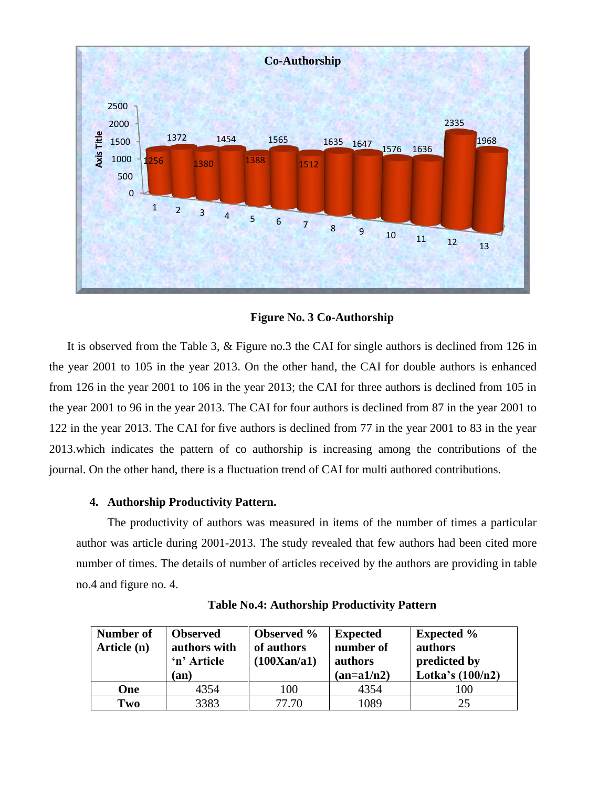

**Figure No. 3 Co-Authorship**

It is observed from the Table 3, & Figure no.3 the CAI for single authors is declined from 126 in the year 2001 to 105 in the year 2013. On the other hand, the CAI for double authors is enhanced from 126 in the year 2001 to 106 in the year 2013; the CAI for three authors is declined from 105 in the year 2001 to 96 in the year 2013. The CAI for four authors is declined from 87 in the year 2001 to 122 in the year 2013. The CAI for five authors is declined from 77 in the year 2001 to 83 in the year 2013.which indicates the pattern of co authorship is increasing among the contributions of the journal. On the other hand, there is a fluctuation trend of CAI for multi authored contributions.

## **4. Authorship Productivity Pattern.**

The productivity of authors was measured in items of the number of times a particular author was article during 2001-2013. The study revealed that few authors had been cited more number of times. The details of number of articles received by the authors are providing in table no.4 and figure no. 4.

| Number of<br>Article (n) | <b>Observed</b><br>authors with<br>'n' Article<br>(an) | <b>Observed</b> %<br>of authors<br>(100Xan/a1) | <b>Expected</b><br>number of<br>authors<br>$(an=a1/n2)$ | <b>Expected %</b><br>authors<br>predicted by<br>Lotka's $(100/n2)$ |
|--------------------------|--------------------------------------------------------|------------------------------------------------|---------------------------------------------------------|--------------------------------------------------------------------|
| One                      | 4354                                                   | 100                                            | 4354                                                    | 100                                                                |
| Two                      | 3383                                                   | 77.70                                          | 1089                                                    | 25                                                                 |

**Table No.4: Authorship Productivity Pattern**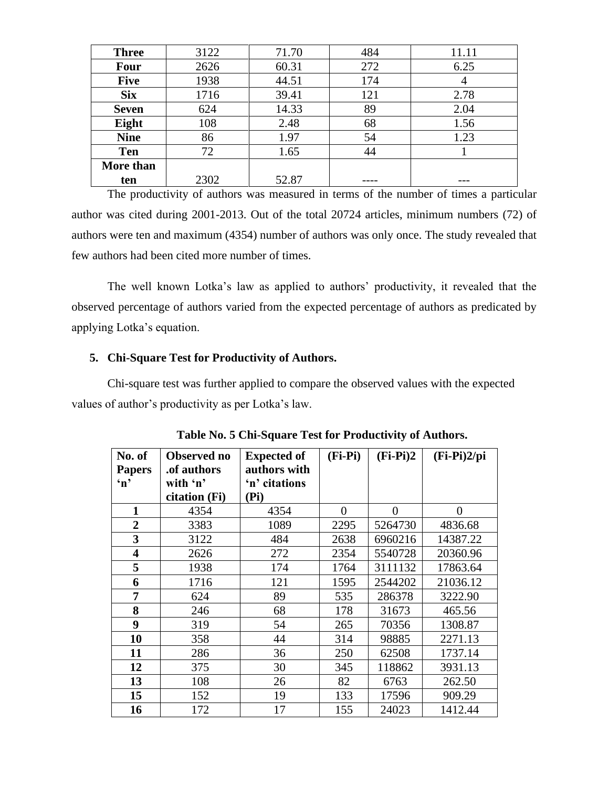| <b>Three</b> | 3122 | 71.70 | 484 | 11.11 |
|--------------|------|-------|-----|-------|
| <b>Four</b>  | 2626 | 60.31 | 272 | 6.25  |
| <b>Five</b>  | 1938 | 44.51 | 174 | 4     |
| <b>Six</b>   | 1716 | 39.41 | 121 | 2.78  |
| <b>Seven</b> | 624  | 14.33 | 89  | 2.04  |
| Eight        | 108  | 2.48  | 68  | 1.56  |
| <b>Nine</b>  | 86   | 1.97  | 54  | 1.23  |
| <b>Ten</b>   | 72   | 1.65  | 44  |       |
| More than    |      |       |     |       |
| ten          | 2302 | 52.87 |     |       |

The productivity of authors was measured in terms of the number of times a particular author was cited during 2001-2013. Out of the total 20724 articles, minimum numbers (72) of authors were ten and maximum (4354) number of authors was only once. The study revealed that few authors had been cited more number of times.

The well known Lotka's law as applied to authors' productivity, it revealed that the observed percentage of authors varied from the expected percentage of authors as predicated by applying Lotka's equation.

## **5. Chi-Square Test for Productivity of Authors.**

Chi-square test was further applied to compare the observed values with the expected values of author's productivity as per Lotka's law.

| No. of<br><b>Papers</b><br>$\mathbf{m}$ | Observed no<br>.of authors<br>with 'n'<br>citation (Fi) | <b>Expected of</b><br>authors with<br>'n' citations<br>(Pi) | $(Fi-Pi)$ | $(Fi-Pi)2$ | $(Fi-Pi)2/pi$ |
|-----------------------------------------|---------------------------------------------------------|-------------------------------------------------------------|-----------|------------|---------------|
| 1                                       | 4354                                                    | 4354                                                        | $\theta$  | $\theta$   | $\theta$      |
| $\overline{2}$                          | 3383                                                    | 1089                                                        | 2295      | 5264730    | 4836.68       |
| 3                                       | 3122                                                    | 484                                                         | 2638      | 6960216    | 14387.22      |
| $\overline{\mathbf{4}}$                 | 2626                                                    | 272                                                         | 2354      | 5540728    | 20360.96      |
| 5                                       | 1938                                                    | 174                                                         | 1764      | 3111132    | 17863.64      |
| 6                                       | 1716                                                    | 121                                                         | 1595      | 2544202    | 21036.12      |
| 7                                       | 624                                                     | 89                                                          | 535       | 286378     | 3222.90       |
| 8                                       | 246                                                     | 68                                                          | 178       | 31673      | 465.56        |
| 9                                       | 319                                                     | 54                                                          | 265       | 70356      | 1308.87       |
| 10                                      | 358                                                     | 44                                                          | 314       | 98885      | 2271.13       |
| 11                                      | 286                                                     | 36                                                          | 250       | 62508      | 1737.14       |
| 12                                      | 375                                                     | 30                                                          | 345       | 118862     | 3931.13       |
| 13                                      | 108                                                     | 26                                                          | 82        | 6763       | 262.50        |
| 15                                      | 152                                                     | 19                                                          | 133       | 17596      | 909.29        |
| 16                                      | 172                                                     | 17                                                          | 155       | 24023      | 1412.44       |

|  | Table No. 5 Chi-Square Test for Productivity of Authors. |  |  |  |
|--|----------------------------------------------------------|--|--|--|
|--|----------------------------------------------------------|--|--|--|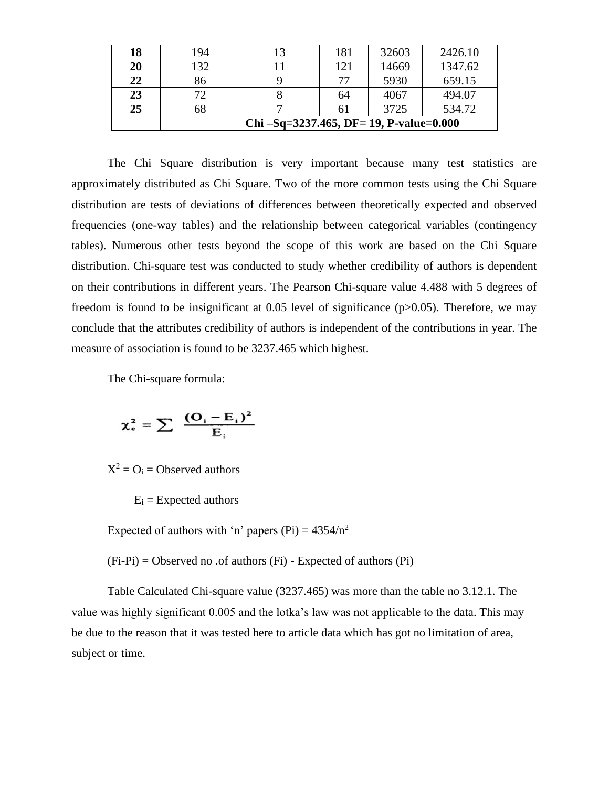|    |              | Chi $-Sq=3237.465$ , DF= 19, P-value=0.000 |     |       |         |  |  |  |
|----|--------------|--------------------------------------------|-----|-------|---------|--|--|--|
| 25 | 68           |                                            |     | 3725  | 534.72  |  |  |  |
| 23 | $72^{\circ}$ |                                            | 64  | 4067  | 494.07  |  |  |  |
| 22 | 86           |                                            | 77  | 5930  | 659.15  |  |  |  |
| 20 | 132          |                                            | 121 | 14669 | 1347.62 |  |  |  |
| 18 | 194          | 13                                         | 181 | 32603 | 2426.10 |  |  |  |

The Chi Square distribution is very important because many test statistics are approximately distributed as Chi Square. Two of the more common tests using the Chi Square distribution are tests of deviations of differences between theoretically expected and observed frequencies (one-way tables) and the relationship between categorical variables (contingency tables). Numerous other tests beyond the scope of this work are based on the Chi Square distribution. Chi-square test was conducted to study whether credibility of authors is dependent on their contributions in different years. The Pearson Chi-square value 4.488 with 5 degrees of freedom is found to be insignificant at  $0.05$  level of significance ( $p > 0.05$ ). Therefore, we may conclude that the attributes credibility of authors is independent of the contributions in year. The measure of association is found to be 3237.465 which highest.

The Chi-square formula:

$$
\chi_{\rm c}^2 = \sum \frac{(\mathbf{O}_{\rm i}-\mathbf{E}_{\rm i})^2}{\mathbf{E}_{\rm i}}
$$

 $X^2 = O_i = Observed \text{ authors}$ 

 $E_i =$  Expected authors

Expected of authors with 'n' papers (Pi) =  $4354/n^2$ 

(Fi-Pi) = Observed no .of authors (Fi) **-** Expected of authors (Pi)

Table Calculated Chi-square value (3237.465) was more than the table no 3.12.1. The value was highly significant 0.005 and the lotka's law was not applicable to the data. This may be due to the reason that it was tested here to article data which has got no limitation of area, subject or time.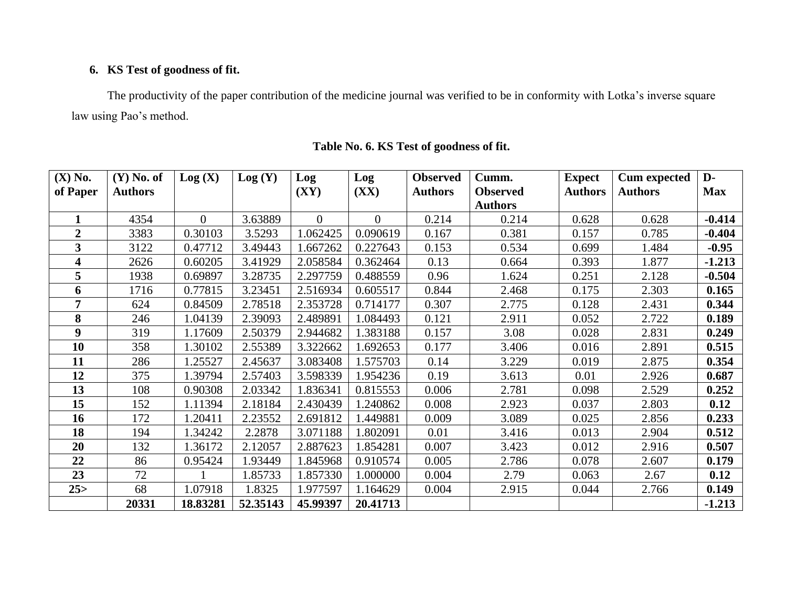## **6. KS Test of goodness of fit.**

The productivity of the paper contribution of the medicine journal was verified to be in conformity with Lotka's inverse square law using Pao's method.

| $(X)$ No.      | $(Y)$ No. of   | Log(X)   | Log(Y)   | Log      | Log      | <b>Observed</b> | Cumm.           | <b>Expect</b>  | <b>Cum expected</b> | $\mathbf{D}$ |
|----------------|----------------|----------|----------|----------|----------|-----------------|-----------------|----------------|---------------------|--------------|
| of Paper       | <b>Authors</b> |          |          | (XY)     | (XX)     | <b>Authors</b>  | <b>Observed</b> | <b>Authors</b> | <b>Authors</b>      | <b>Max</b>   |
|                |                |          |          |          |          |                 | <b>Authors</b>  |                |                     |              |
|                | 4354           | $\Omega$ | 3.63889  | $\Omega$ | $\theta$ | 0.214           | 0.214           | 0.628          | 0.628               | $-0.414$     |
| $\overline{2}$ | 3383           | 0.30103  | 3.5293   | 1.062425 | 0.090619 | 0.167           | 0.381           | 0.157          | 0.785               | $-0.404$     |
| 3              | 3122           | 0.47712  | 3.49443  | 1.667262 | 0.227643 | 0.153           | 0.534           | 0.699          | 1.484               | $-0.95$      |
| 4              | 2626           | 0.60205  | 3.41929  | 2.058584 | 0.362464 | 0.13            | 0.664           | 0.393          | 1.877               | $-1.213$     |
| 5              | 1938           | 0.69897  | 3.28735  | 2.297759 | 0.488559 | 0.96            | 1.624           | 0.251          | 2.128               | $-0.504$     |
| 6              | 1716           | 0.77815  | 3.23451  | 2.516934 | 0.605517 | 0.844           | 2.468           | 0.175          | 2.303               | 0.165        |
| 7              | 624            | 0.84509  | 2.78518  | 2.353728 | 0.714177 | 0.307           | 2.775           | 0.128          | 2.431               | 0.344        |
| 8              | 246            | 1.04139  | 2.39093  | 2.489891 | 1.084493 | 0.121           | 2.911           | 0.052          | 2.722               | 0.189        |
| 9              | 319            | 1.17609  | 2.50379  | 2.944682 | 1.383188 | 0.157           | 3.08            | 0.028          | 2.831               | 0.249        |
| 10             | 358            | 1.30102  | 2.55389  | 3.322662 | 1.692653 | 0.177           | 3.406           | 0.016          | 2.891               | 0.515        |
| 11             | 286            | 1.25527  | 2.45637  | 3.083408 | 1.575703 | 0.14            | 3.229           | 0.019          | 2.875               | 0.354        |
| 12             | 375            | 1.39794  | 2.57403  | 3.598339 | 1.954236 | 0.19            | 3.613           | 0.01           | 2.926               | 0.687        |
| 13             | 108            | 0.90308  | 2.03342  | 1.836341 | 0.815553 | 0.006           | 2.781           | 0.098          | 2.529               | 0.252        |
| 15             | 152            | 1.11394  | 2.18184  | 2.430439 | 1.240862 | 0.008           | 2.923           | 0.037          | 2.803               | 0.12         |
| 16             | 172            | 1.20411  | 2.23552  | 2.691812 | 1.449881 | 0.009           | 3.089           | 0.025          | 2.856               | 0.233        |
| 18             | 194            | 1.34242  | 2.2878   | 3.071188 | 1.802091 | 0.01            | 3.416           | 0.013          | 2.904               | 0.512        |
| 20             | 132            | 1.36172  | 2.12057  | 2.887623 | 1.854281 | 0.007           | 3.423           | 0.012          | 2.916               | 0.507        |
| 22             | 86             | 0.95424  | 1.93449  | 1.845968 | 0.910574 | 0.005           | 2.786           | 0.078          | 2.607               | 0.179        |
| 23             | 72             |          | 1.85733  | 1.857330 | 1.000000 | 0.004           | 2.79            | 0.063          | 2.67                | 0.12         |
| 25 >           | 68             | 1.07918  | 1.8325   | 1.977597 | 1.164629 | 0.004           | 2.915           | 0.044          | 2.766               | 0.149        |
|                | 20331          | 18.83281 | 52.35143 | 45.99397 | 20.41713 |                 |                 |                |                     | $-1.213$     |

## **Table No. 6. KS Test of goodness of fit.**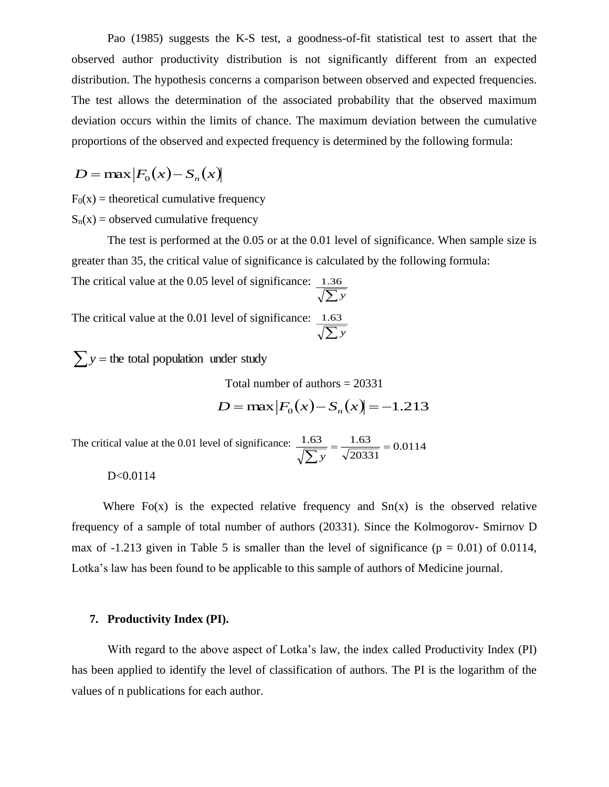Pao (1985) suggests the K-S test, a goodness-of-fit statistical test to assert that the observed author productivity distribution is not significantly different from an expected distribution. The hypothesis concerns a comparison between observed and expected frequencies. The test allows the determination of the associated probability that the observed maximum deviation occurs within the limits of chance. The maximum deviation between the cumulative proportions of the observed and expected frequency is determined by the following formula:

$$
D = \max |F_0(x) - S_n(x)|
$$

 $F<sub>0</sub>(x)$  = theoretical cumulative frequency

 $S_n(x) =$  observed cumulative frequency

The test is performed at the 0.05 or at the 0.01 level of significance. When sample size is greater than 35, the critical value of significance is calculated by the following formula:

The critical value at the 0.05 level of significance: *<sup>y</sup>* 1.36

The critical value at the 0.01 level of significance: *<sup>y</sup>* 1.63

 $\sum y$  = the total population under study

Total number of authors = 20331

$$
D = \max |F_0(x) - S_n(x)| = -1.213
$$

The critical value at the 0.01 level of significance:  $\frac{1.63}{\sqrt{1.63}} = \frac{1.63}{\sqrt{1.63}} = 0.0114$ 20331  $\frac{1.63}{\sqrt{\sum y}} = \frac{1.63}{\sqrt{20331}} =$ 

D<0.0114

Where  $F(x)$  is the expected relative frequency and  $S_n(x)$  is the observed relative frequency of a sample of total number of authors (20331). Since the Kolmogorov- Smirnov D max of  $-1.213$  given in Table 5 is smaller than the level of significance ( $p = 0.01$ ) of 0.0114, Lotka's law has been found to be applicable to this sample of authors of Medicine journal.

#### **7. Productivity Index (PI).**

With regard to the above aspect of Lotka's law, the index called Productivity Index (PI) has been applied to identify the level of classification of authors. The PI is the logarithm of the values of n publications for each author.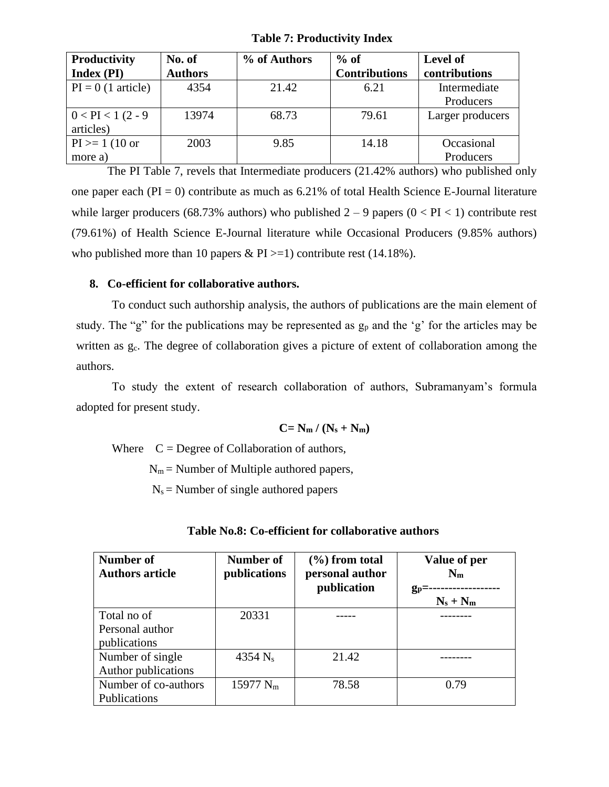**Table 7: Productivity Index**

| Productivity         | No. of         | % of Authors | $%$ of               | Level of         |
|----------------------|----------------|--------------|----------------------|------------------|
| Index (PI)           | <b>Authors</b> |              | <b>Contributions</b> | contributions    |
| $PI = 0$ (1 article) | 4354           | 21.42        | 6.21                 | Intermediate     |
|                      |                |              |                      | Producers        |
| $0 < PI < 1 (2 - 9)$ | 13974          | 68.73        | 79.61                | Larger producers |
| articles)            |                |              |                      |                  |
| $PI \ge 1 (10 or$    | 2003           | 9.85         | 14.18                | Occasional       |
| more a)              |                |              |                      | Producers        |

The PI Table 7, revels that Intermediate producers (21.42% authors) who published only one paper each ( $PI = 0$ ) contribute as much as 6.21% of total Health Science E-Journal literature while larger producers (68.73% authors) who published  $2 - 9$  papers ( $0 < PI < 1$ ) contribute rest (79.61%) of Health Science E-Journal literature while Occasional Producers (9.85% authors) who published more than 10 papers &  $PI \ge -1$ ) contribute rest (14.18%).

#### **8. Co-efficient for collaborative authors.**

To conduct such authorship analysis, the authors of publications are the main element of study. The "g" for the publications may be represented as  $g_p$  and the 'g' for the articles may be written as  $g_c$ . The degree of collaboration gives a picture of extent of collaboration among the authors.

To study the extent of research collaboration of authors, Subramanyam's formula adopted for present study.

$$
C = N_m / (N_s + N_m)
$$

Where  $C = \text{Degree of Collaboration of authors},$ 

 $N_m$  = Number of Multiple authored papers,

 $N_s$  = Number of single authored papers

| <b>Number of</b><br><b>Authors article</b>     | Number of<br>publications | $(\% )$ from total<br>personal author<br>publication | Value of per<br>$N_{m}$<br>$g_p = -$<br>$N_s + N_m$ |
|------------------------------------------------|---------------------------|------------------------------------------------------|-----------------------------------------------------|
| Total no of<br>Personal author<br>publications | 20331                     |                                                      |                                                     |
| Number of single<br>Author publications        | 4354 $N_s$                | 21.42                                                |                                                     |
| Number of co-authors<br>Publications           | 15977 $N_m$               | 78.58                                                | 0.79                                                |

|  |  | Table No.8: Co-efficient for collaborative authors |  |
|--|--|----------------------------------------------------|--|
|--|--|----------------------------------------------------|--|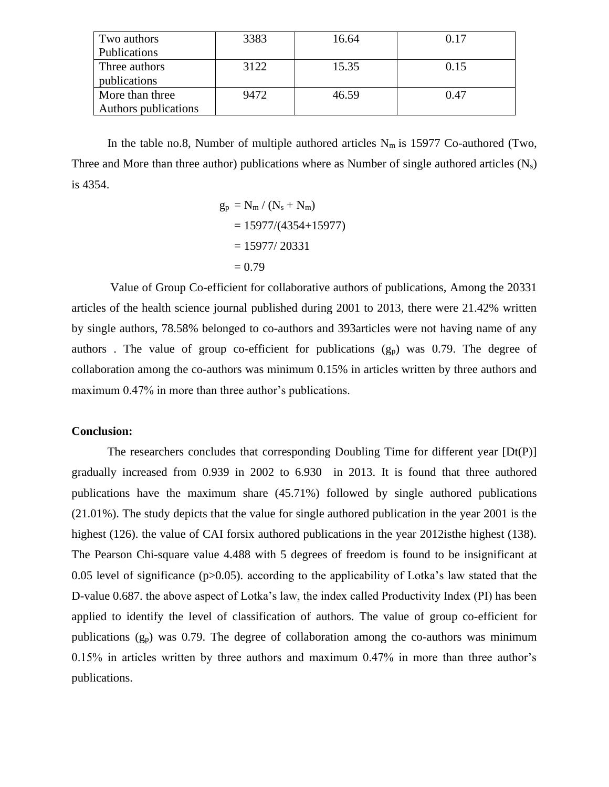| Two authors          | 3383 | 16.64 | 0.17 |
|----------------------|------|-------|------|
| Publications         |      |       |      |
| Three authors        | 3122 | 15.35 | 0.15 |
| publications         |      |       |      |
| More than three      | 9472 | 46.59 | 0.47 |
| Authors publications |      |       |      |

In the table no.8, Number of multiple authored articles  $N_m$  is 15977 Co-authored (Two, Three and More than three author) publications where as Number of single authored articles  $(N_s)$ is 4354.

$$
g_p = N_m / (N_s + N_m)
$$
  
= 15977/(4354+15977)  
= 15977/ 20331  
= 0.79

Value of Group Co-efficient for collaborative authors of publications, Among the 20331 articles of the health science journal published during 2001 to 2013, there were 21.42% written by single authors, 78.58% belonged to co-authors and 393articles were not having name of any authors. The value of group co-efficient for publications  $(g_p)$  was 0.79. The degree of collaboration among the co-authors was minimum 0.15% in articles written by three authors and maximum 0.47% in more than three author's publications.

#### **Conclusion:**

The researchers concludes that corresponding Doubling Time for different year [Dt(P)] gradually increased from 0.939 in 2002 to 6.930 in 2013. It is found that three authored publications have the maximum share (45.71%) followed by single authored publications (21.01%). The study depicts that the value for single authored publication in the year 2001 is the highest (126). the value of CAI forsix authored publications in the year 2012isthe highest (138). The Pearson Chi-square value 4.488 with 5 degrees of freedom is found to be insignificant at 0.05 level of significance ( $p > 0.05$ ). according to the applicability of Lotka's law stated that the D-value 0.687. the above aspect of Lotka's law, the index called Productivity Index (PI) has been applied to identify the level of classification of authors. The value of group co-efficient for publications  $(g_p)$  was 0.79. The degree of collaboration among the co-authors was minimum 0.15% in articles written by three authors and maximum 0.47% in more than three author's publications.